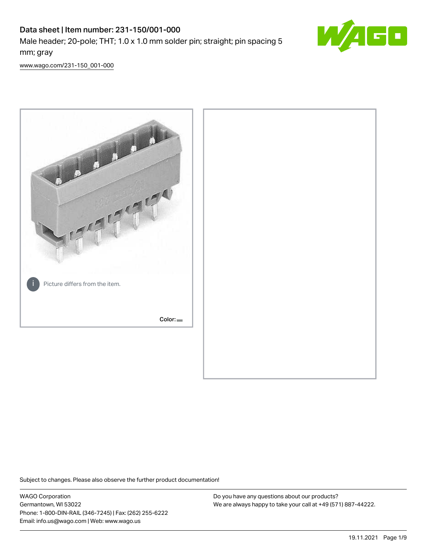# Data sheet | Item number: 231-150/001-000 Male header; 20-pole; THT; 1.0 x 1.0 mm solder pin; straight; pin spacing 5 mm; gray



[www.wago.com/231-150\\_001-000](http://www.wago.com/231-150_001-000)



Subject to changes. Please also observe the further product documentation!

WAGO Corporation Germantown, WI 53022 Phone: 1-800-DIN-RAIL (346-7245) | Fax: (262) 255-6222 Email: info.us@wago.com | Web: www.wago.us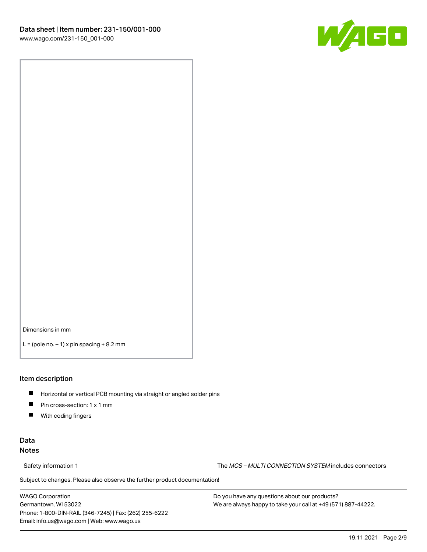

Dimensions in mm

 $L =$  (pole no.  $-1$ ) x pin spacing  $+8.2$  mm

#### Item description

- **Horizontal or vertical PCB mounting via straight or angled solder pins**
- **Pin cross-section: 1 x 1 mm**
- $\blacksquare$ With coding fingers

### Data Notes

Safety information 1 The MCS – MULTI CONNECTION SYSTEM includes connectors

Subject to changes. Please also observe the further product documentation!  $\nu$ 

WAGO Corporation Germantown, WI 53022 Phone: 1-800-DIN-RAIL (346-7245) | Fax: (262) 255-6222 Email: info.us@wago.com | Web: www.wago.us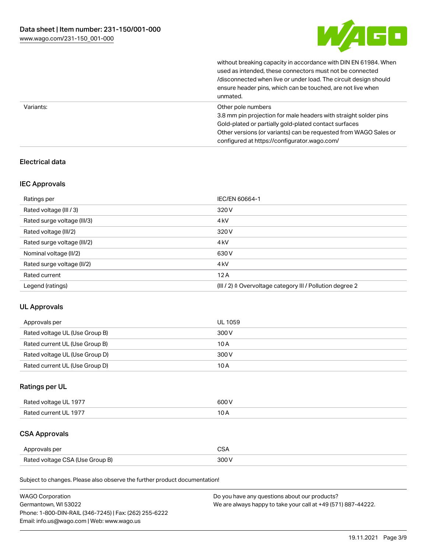

|           | without breaking capacity in accordance with DIN EN 61984. When<br>used as intended, these connectors must not be connected<br>/disconnected when live or under load. The circuit design should<br>ensure header pins, which can be touched, are not live when<br>unmated. |
|-----------|----------------------------------------------------------------------------------------------------------------------------------------------------------------------------------------------------------------------------------------------------------------------------|
| Variants: | Other pole numbers<br>3.8 mm pin projection for male headers with straight solder pins<br>Gold-plated or partially gold-plated contact surfaces<br>Other versions (or variants) can be requested from WAGO Sales or<br>configured at https://configurator.wago.com/        |

### Electrical data

### IEC Approvals

| Ratings per                 | IEC/EN 60664-1                                                        |
|-----------------------------|-----------------------------------------------------------------------|
| Rated voltage (III / 3)     | 320 V                                                                 |
| Rated surge voltage (III/3) | 4 <sub>k</sub> V                                                      |
| Rated voltage (III/2)       | 320 V                                                                 |
| Rated surge voltage (III/2) | 4 <sub>k</sub> V                                                      |
| Nominal voltage (II/2)      | 630 V                                                                 |
| Rated surge voltage (II/2)  | 4 <sub>k</sub> V                                                      |
| Rated current               | 12A                                                                   |
| Legend (ratings)            | $(III / 2)$ $\triangle$ Overvoltage category III / Pollution degree 2 |

## UL Approvals

| Approvals per                  | UL 1059 |
|--------------------------------|---------|
| Rated voltage UL (Use Group B) | 300 V   |
| Rated current UL (Use Group B) | 10 A    |
| Rated voltage UL (Use Group D) | 300 V   |
| Rated current UL (Use Group D) | 10 A    |

### Ratings per UL

| Rated voltage UL 1977 | 600 V |
|-----------------------|-------|
| Rated current UL 1977 |       |

## CSA Approvals

| Approvals per                   |  |
|---------------------------------|--|
| Rated voltage CSA (Use Group B) |  |

Subject to changes. Please also observe the further product documentation!

| <b>WAGO Corporation</b>                                | Do you have any questions about our products?                 |
|--------------------------------------------------------|---------------------------------------------------------------|
| Germantown, WI 53022                                   | We are always happy to take your call at +49 (571) 887-44222. |
| Phone: 1-800-DIN-RAIL (346-7245)   Fax: (262) 255-6222 |                                                               |
| Email: info.us@wago.com   Web: www.wago.us             |                                                               |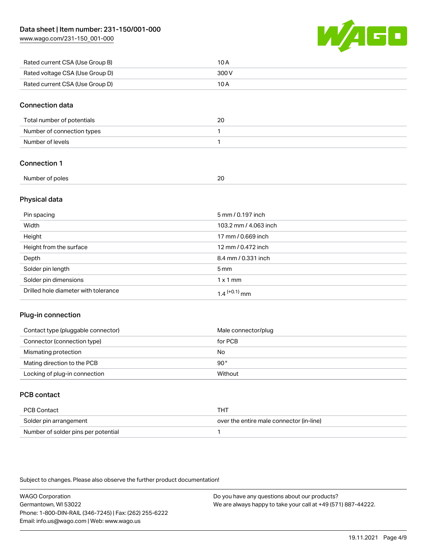[www.wago.com/231-150\\_001-000](http://www.wago.com/231-150_001-000)



| Rated current CSA (Use Group B) | 10 A  |
|---------------------------------|-------|
| Rated voltage CSA (Use Group D) | 300 V |
| Rated current CSA (Use Group D) | 10 A  |

#### Connection data

| Total number of potentials | 20 |
|----------------------------|----|
| Number of connection types |    |
| Number of levels           |    |

### Connection 1

| Number of<br>of poles <sup>.</sup><br>. | $\sim$ |  |
|-----------------------------------------|--------|--|
|                                         |        |  |

### Physical data

| Pin spacing                          | 5 mm / 0.197 inch     |
|--------------------------------------|-----------------------|
| Width                                | 103.2 mm / 4.063 inch |
| Height                               | 17 mm / 0.669 inch    |
| Height from the surface              | 12 mm / 0.472 inch    |
| Depth                                | 8.4 mm / 0.331 inch   |
| Solder pin length                    | $5 \text{ mm}$        |
| Solder pin dimensions                | $1 \times 1$ mm       |
| Drilled hole diameter with tolerance | $1.4$ $(+0.1)$ mm     |

### Plug-in connection

| Contact type (pluggable connector) | Male connector/plug |
|------------------------------------|---------------------|
| Connector (connection type)        | for PCB             |
| Mismating protection               | No                  |
| Mating direction to the PCB        | 90°                 |
| Locking of plug-in connection      | Without             |

### PCB contact

| PCB Contact                         | тнт                                      |
|-------------------------------------|------------------------------------------|
| Solder pin arrangement              | over the entire male connector (in-line) |
| Number of solder pins per potential |                                          |

Subject to changes. Please also observe the further product documentation!

WAGO Corporation Germantown, WI 53022 Phone: 1-800-DIN-RAIL (346-7245) | Fax: (262) 255-6222 Email: info.us@wago.com | Web: www.wago.us Do you have any questions about our products? We are always happy to take your call at +49 (571) 887-44222.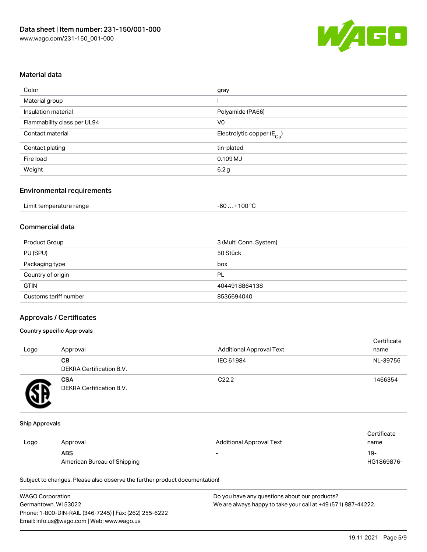

#### Material data

| gray                                   |
|----------------------------------------|
|                                        |
| Polyamide (PA66)                       |
| V <sub>0</sub>                         |
| Electrolytic copper (E <sub>Cu</sub> ) |
| tin-plated                             |
| 0.109 MJ                               |
| 6.2g                                   |
|                                        |

### Environmental requirements

| Limit temperature range | $+100 °C$<br>-60 |
|-------------------------|------------------|
|-------------------------|------------------|

### Commercial data

| Product Group         | 3 (Multi Conn. System) |
|-----------------------|------------------------|
| PU (SPU)              | 50 Stück               |
| Packaging type        | box                    |
| Country of origin     | PL                     |
| <b>GTIN</b>           | 4044918864138          |
| Customs tariff number | 8536694040             |

#### Approvals / Certificates

#### Country specific Approvals

| Logo | Approval                               | <b>Additional Approval Text</b> | Certificate<br>name |
|------|----------------------------------------|---------------------------------|---------------------|
|      | CВ<br>DEKRA Certification B.V.         | IEC 61984                       | NL-39756            |
|      | <b>CSA</b><br>DEKRA Certification B.V. | C <sub>22.2</sub>               | 1466354             |

#### Ship Approvals

|      |                             |                                 | Certificate |
|------|-----------------------------|---------------------------------|-------------|
| Logo | Approval                    | <b>Additional Approval Text</b> | name        |
|      | <b>ABS</b>                  | $\overline{\phantom{0}}$        | -19         |
|      | American Bureau of Shipping |                                 | HG1869876-  |

Subject to changes. Please also observe the further product documentation!

| <b>WAGO Corporation</b>                                | Do you have any questions about our products?                 |
|--------------------------------------------------------|---------------------------------------------------------------|
| Germantown, WI 53022                                   | We are always happy to take your call at +49 (571) 887-44222. |
| Phone: 1-800-DIN-RAIL (346-7245)   Fax: (262) 255-6222 |                                                               |
| Email: info.us@wago.com   Web: www.wago.us             |                                                               |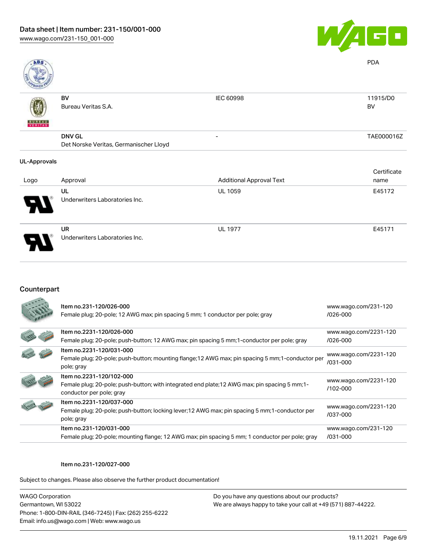

| <b>ABS</b>               |                                        |                                 | <b>PDA</b>  |
|--------------------------|----------------------------------------|---------------------------------|-------------|
|                          | BV                                     | <b>IEC 60998</b>                | 11915/D0    |
|                          | Bureau Veritas S.A.                    |                                 | BV          |
| <b>BUREAU</b><br>VERITAS |                                        |                                 |             |
|                          | <b>DNV GL</b>                          | -                               | TAE000016Z  |
|                          | Det Norske Veritas, Germanischer Lloyd |                                 |             |
| <b>UL-Approvals</b>      |                                        |                                 |             |
|                          |                                        |                                 | Certificate |
| Logo                     | Approval                               | <b>Additional Approval Text</b> | name        |
|                          | UL                                     | <b>UL 1059</b>                  | E45172      |
|                          | Underwriters Laboratories Inc.         |                                 |             |

UR Underwriters Laboratories Inc.

### Counterpart

| Item no.231-120/026-000<br>Female plug; 20-pole; 12 AWG max; pin spacing 5 mm; 1 conductor per pole; gray | www.wago.com/231-120<br>/026-000 |
|-----------------------------------------------------------------------------------------------------------|----------------------------------|
| ltem no.2231-120/026-000                                                                                  | www.wago.com/2231-120            |
| Female plug; 20-pole; push-button; 12 AWG max; pin spacing 5 mm; 1-conductor per pole; gray               | /026-000                         |
| Item no.2231-120/031-000                                                                                  | www.wago.com/2231-120            |
| Female plug; 20-pole; push-button; mounting flange; 12 AWG max; pin spacing 5 mm; 1-conductor per         | /031-000                         |
| pole; gray                                                                                                |                                  |
| Item no.2231-120/102-000                                                                                  | www.wago.com/2231-120            |
| Female plug; 20-pole; push-button; with integrated end plate; 12 AWG max; pin spacing 5 mm; 1-            | /102-000                         |
| conductor per pole; gray                                                                                  |                                  |
| Item no.2231-120/037-000                                                                                  | www.wago.com/2231-120            |
| Female plug; 20-pole; push-button; locking lever; 12 AWG max; pin spacing 5 mm; 1-conductor per           | /037-000                         |
| pole; gray                                                                                                |                                  |
| Item no.231-120/031-000                                                                                   | www.wago.com/231-120             |
| Female plug; 20-pole; mounting flange; 12 AWG max; pin spacing 5 mm; 1 conductor per pole; gray           | $/031 - 000$                     |

#### Item no.231-120/027-000

Subject to changes. Please also observe the further product documentation!

WAGO Corporation Germantown, WI 53022 Phone: 1-800-DIN-RAIL (346-7245) | Fax: (262) 255-6222 Email: info.us@wago.com | Web: www.wago.us

Do you have any questions about our products? We are always happy to take your call at +49 (571) 887-44222.

UL 1977 E45171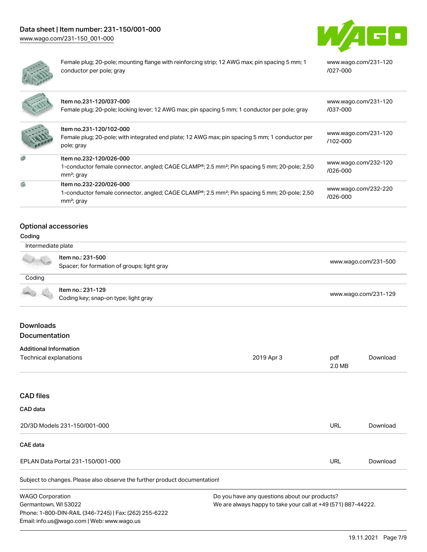



Female plug; 20-pole; mounting flange with reinforcing strip; 12 AWG max; pin spacing 5 mm; 1 conductor per pole; gray

[www.wago.com/231-120](https://www.wago.com/231-120/027-000) [/027-000](https://www.wago.com/231-120/027-000)

|    | Item no.231-120/037-000<br>Female plug; 20-pole; locking lever; 12 AWG max; pin spacing 5 mm; 1 conductor per pole; gray                                         | www.wago.com/231-120<br>/037-000     |
|----|------------------------------------------------------------------------------------------------------------------------------------------------------------------|--------------------------------------|
|    | Item no.231-120/102-000<br>Female plug; 20-pole; with integrated end plate; 12 AWG max; pin spacing 5 mm; 1 conductor per<br>pole; gray                          | www.wago.com/231-120<br>$/102 - 000$ |
| G  | Item no.232-120/026-000<br>1-conductor female connector, angled; CAGE CLAMP <sup>®</sup> ; 2.5 mm <sup>2</sup> ; Pin spacing 5 mm; 20-pole; 2,50<br>$mm2$ ; gray | www.wago.com/232-120<br>$1026 - 000$ |
| G) | Item no.232-220/026-000<br>1-conductor female connector, angled; CAGE CLAMP <sup>®</sup> ; 2.5 mm <sup>2</sup> ; Pin spacing 5 mm; 20-pole; 2,50<br>$mm2$ ; gray | www.wago.com/232-220<br>/026-000     |

## Optional accessories

#### Coding

| Intermediate plate |                                                                  |                      |
|--------------------|------------------------------------------------------------------|----------------------|
| A 12               | ltem no.: 231-500<br>Spacer; for formation of groups; light gray | www.wago.com/231-500 |
| Coding             |                                                                  |                      |
| <b>CONTRACTOR</b>  | Item no.: 231-129<br>Coding key; snap-on type; light gray        | www.wago.com/231-129 |

### Downloads Documentation

| <b>Additional Information</b>                                              |                                                               |               |          |
|----------------------------------------------------------------------------|---------------------------------------------------------------|---------------|----------|
| Technical explanations                                                     | 2019 Apr 3                                                    | pdf<br>2.0 MB | Download |
|                                                                            |                                                               |               |          |
| <b>CAD files</b>                                                           |                                                               |               |          |
| CAD data                                                                   |                                                               |               |          |
| 2D/3D Models 231-150/001-000                                               |                                                               | <b>URL</b>    | Download |
| CAE data                                                                   |                                                               |               |          |
| EPLAN Data Portal 231-150/001-000                                          |                                                               | <b>URL</b>    | Download |
| Subject to changes. Please also observe the further product documentation! |                                                               |               |          |
| <b>WAGO Corporation</b>                                                    | Do you have any questions about our products?                 |               |          |
| Germantown, WI 53022                                                       | We are always happy to take your call at +49 (571) 887-44222. |               |          |
| Phone: 1-800-DIN-RAIL (346-7245)   Fax: (262) 255-6222                     |                                                               |               |          |
| Email: info.us@wago.com   Web: www.wago.us                                 |                                                               |               |          |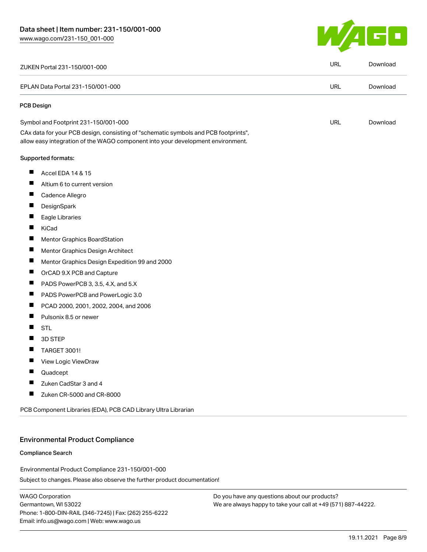

|                   | ZUKEN Portal 231-150/001-000                                                                                                                                           | <b>URL</b> | Download |
|-------------------|------------------------------------------------------------------------------------------------------------------------------------------------------------------------|------------|----------|
|                   | EPLAN Data Portal 231-150/001-000                                                                                                                                      | <b>URL</b> | Download |
| <b>PCB Design</b> |                                                                                                                                                                        |            |          |
|                   | Symbol and Footprint 231-150/001-000                                                                                                                                   | <b>URL</b> | Download |
|                   | CAx data for your PCB design, consisting of "schematic symbols and PCB footprints",<br>allow easy integration of the WAGO component into your development environment. |            |          |
|                   | <b>Supported formats:</b>                                                                                                                                              |            |          |
| п                 | Accel EDA 14 & 15                                                                                                                                                      |            |          |
| ш                 | Altium 6 to current version                                                                                                                                            |            |          |
| ш                 | Cadence Allegro                                                                                                                                                        |            |          |
| ш                 | DesignSpark                                                                                                                                                            |            |          |
| ш                 | Eagle Libraries                                                                                                                                                        |            |          |
| ш                 | KiCad                                                                                                                                                                  |            |          |
| ш                 | Mentor Graphics BoardStation                                                                                                                                           |            |          |
| Ц                 | Mentor Graphics Design Architect                                                                                                                                       |            |          |
| Щ                 | Mentor Graphics Design Expedition 99 and 2000                                                                                                                          |            |          |
| $\blacksquare$    | OrCAD 9.X PCB and Capture                                                                                                                                              |            |          |
| ш                 | PADS PowerPCB 3, 3.5, 4.X, and 5.X                                                                                                                                     |            |          |
| ш                 | PADS PowerPCB and PowerLogic 3.0                                                                                                                                       |            |          |
| П                 | PCAD 2000, 2001, 2002, 2004, and 2006                                                                                                                                  |            |          |
| $\blacksquare$    | Pulsonix 8.5 or newer                                                                                                                                                  |            |          |
| $\blacksquare$    | <b>STL</b>                                                                                                                                                             |            |          |
| H                 | 3D STEP                                                                                                                                                                |            |          |
| $\blacksquare$    | <b>TARGET 3001!</b>                                                                                                                                                    |            |          |
|                   | View Logic ViewDraw                                                                                                                                                    |            |          |
| Ш                 | Quadcept                                                                                                                                                               |            |          |
| H                 | Zuken CadStar 3 and 4                                                                                                                                                  |            |          |
|                   | Zuken CR-5000 and CR-8000                                                                                                                                              |            |          |

#### Environmental Product Compliance

#### Compliance Search

Environmental Product Compliance 231-150/001-000

Subject to changes. Please also observe the further product documentation!

WAGO Corporation Germantown, WI 53022 Phone: 1-800-DIN-RAIL (346-7245) | Fax: (262) 255-6222 Email: info.us@wago.com | Web: www.wago.us